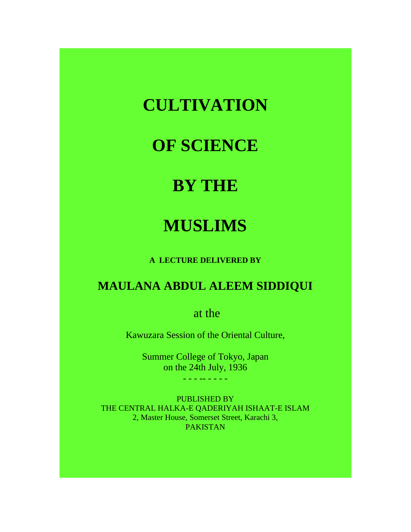# **CULTIVATION**

# **OF SCIENCE**

# **BY THE**

# **MUSLIMS**

**A LECTURE DELIVERED BY**

# **MAULANA ABDUL ALEEM SIDDIQUI**

at the

Kawuzara Session of the Oriental Culture,

Summer College of Tokyo, Japan on the 24th July, 1936

- - - -- - - - -

PUBLISHED BY THE CENTRAL HALKA-E QADERIYAH ISHAAT-E ISLAM 2, Master House, Somerset Street, Karachi 3, PAKISTAN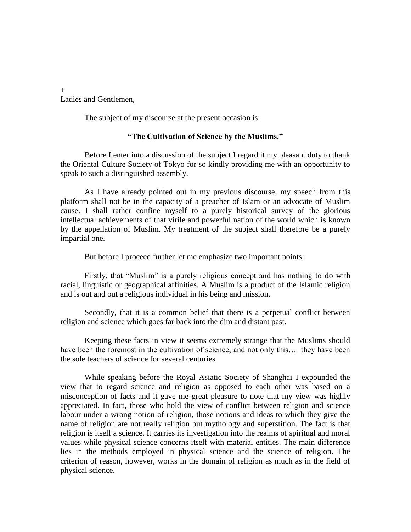Ladies and Gentlemen,

The subject of my discourse at the present occasion is:

#### **"The Cultivation of Science by the Muslims."**

Before I enter into a discussion of the subject I regard it my pleasant duty to thank the Oriental Culture Society of Tokyo for so kindly providing me with an opportunity to speak to such a distinguished assembly.

As I have already pointed out in my previous discourse, my speech from this platform shall not be in the capacity of a preacher of Islam or an advocate of Muslim cause. I shall rather confine myself to a purely historical survey of the glorious intellectual achievements of that virile and powerful nation of the world which is known by the appellation of Muslim. My treatment of the subject shall therefore be a purely impartial one.

But before I proceed further let me emphasize two important points:

Firstly, that "Muslim" is a purely religious concept and has nothing to do with racial, linguistic or geographical affinities. A Muslim is a product of the Islamic religion and is out and out a religious individual in his being and mission.

Secondly, that it is a common belief that there is a perpetual conflict between religion and science which goes far back into the dim and distant past.

Keeping these facts in view it seems extremely strange that the Muslims should have been the foremost in the cultivation of science, and not only this... they have been the sole teachers of science for several centuries.

While speaking before the Royal Asiatic Society of Shanghai I expounded the view that to regard science and religion as opposed to each other was based on a misconception of facts and it gave me great pleasure to note that my view was highly appreciated. In fact, those who hold the view of conflict between religion and science labour under a wrong notion of religion, those notions and ideas to which they give the name of religion are not really religion but mythology and superstition. The fact is that religion is itself a science. It carries its investigation into the realms of spiritual and moral values while physical science concerns itself with material entities. The main difference lies in the methods employed in physical science and the science of religion. The criterion of reason, however, works in the domain of religion as much as in the field of physical science.

+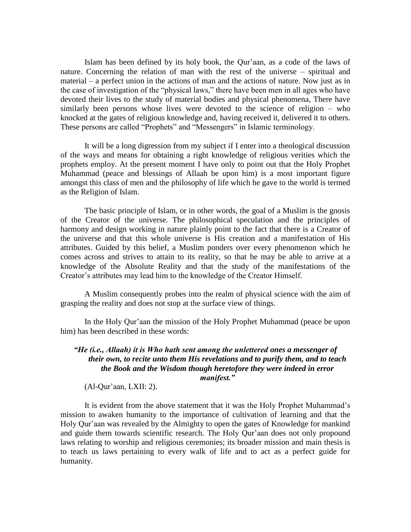Islam has been defined by its holy book, the Qur"aan, as a code of the laws of nature. Concerning the relation of man with the rest of the universe – spiritual and material – a perfect union in the actions of man and the actions of nature. Now just as in the case of investigation of the "physical laws," there have been men in all ages who have devoted their lives to the study of material bodies and physical phenomena, There have similarly been persons whose lives were devoted to the science of religion – who knocked at the gates of religious knowledge and, having received it, delivered it to others. These persons are called "Prophets" and "Messengers" in Islamic terminology.

It will be a long digression from my subject if I enter into a theological discussion of the ways and means for obtaining a right knowledge of religious verities which the prophets employ. At the present moment I have only to point out that the Holy Prophet Muhammad (peace and blessings of Allaah be upon him) is a most important figure amongst this class of men and the philosophy of life which he gave to the world is termed as the Religion of Islam.

The basic principle of Islam, or in other words, the goal of a Muslim is the gnosis of the Creator of the universe. The philosophical speculation and the principles of harmony and design working in nature plainly point to the fact that there is a Creator of the universe and that this whole universe is His creation and a manifestation of His attributes. Guided by this belief, a Muslim ponders over every phenomenon which he comes across and strives to attain to its reality, so that he may be able to arrive at a knowledge of the Absolute Reality and that the study of the manifestations of the Creator"s attributes may lead him to the knowledge of the Creator Himself.

A Muslim consequently probes into the realm of physical science with the aim of grasping the reality and does not stop at the surface view of things.

In the Holy Qur"aan the mission of the Holy Prophet Muhammad (peace be upon him) has been described in these words:

# *"He (i.e., Allaah) it is Who hath sent among the unlettered ones a messenger of their own, to recite unto them His revelations and to purify them, and to teach the Book and the Wisdom though heretofore they were indeed in error manifest."*

 $(Al$ -Qur'aan, LXII: 2).

It is evident from the above statement that it was the Holy Prophet Muhammad"s mission to awaken humanity to the importance of cultivation of learning and that the Holy Qur"aan was revealed by the Almighty to open the gates of Knowledge for mankind and guide them towards scientific research. The Holy Qur"aan does not only propound laws relating to worship and religious ceremonies; its broader mission and main thesis is to teach us laws pertaining to every walk of life and to act as a perfect guide for humanity.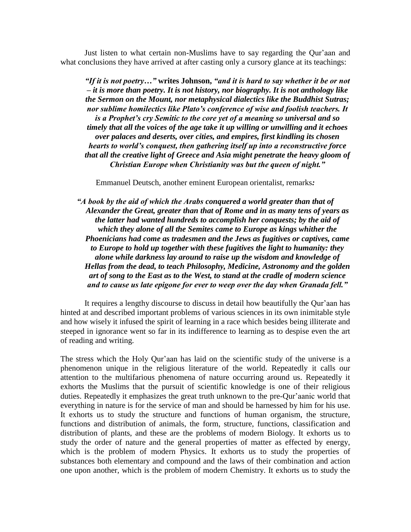Just listen to what certain non-Muslims have to say regarding the Qur"aan and what conclusions they have arrived at after casting only a cursory glance at its teachings:

*"If it is not poetry…"* **writes Johnson,** *"and it is hard to say whether it be or not – it is more than poetry. It is not history, nor biography. It is not anthology like the Sermon on the Mount, nor metaphysical dialectics like the Buddhist Sutras; nor sublime homilectics like Plato"s conference of wise and foolish teachers. It is a Prophet"s cry Semitic to the core yet of a meaning so universal and so timely that all the voices of the age take it up willing or unwilling and it echoes over palaces and deserts, over cities, and empires, first kindling its chosen hearts to world"s conquest, then gathering itself up into a reconstructive force that all the creative light of Greece and Asia might penetrate the heavy gloom of Christian Europe when Christianity was but the queen of night."*

Emmanuel Deutsch, another eminent European orientalist, remarks*:*

*"A book by the aid of which the Arabs conquered a world greater than that of Alexander the Great, greater than that of Rome and in as many tens of years as the latter had wanted hundreds to accomplish her conquests; by the aid of which they alone of all the Semites came to Europe as kings whither the Phoenicians had come as tradesmen and the Jews as fugitives or captives, came to Europe to hold up together with these fugitives the light to humanity: they alone while darkness lay around to raise up the wisdom and knowledge of Hellas from the dead, to teach Philosophy, Medicine, Astronomy and the golden art of song to the East as to the West, to stand at the cradle of modern science and to cause us late epigone for ever to weep over the day when Granada fell."*

It requires a lengthy discourse to discuss in detail how beautifully the Qur"aan has hinted at and described important problems of various sciences in its own inimitable style and how wisely it infused the spirit of learning in a race which besides being illiterate and steeped in ignorance went so far in its indifference to learning as to despise even the art of reading and writing.

The stress which the Holy Qur"aan has laid on the scientific study of the universe is a phenomenon unique in the religious literature of the world. Repeatedly it calls our attention to the multifarious phenomena of nature occurring around us. Repeatedly it exhorts the Muslims that the pursuit of scientific knowledge is one of their religious duties. Repeatedly it emphasizes the great truth unknown to the pre-Qur'aanic world that everything in nature is for the service of man and should be harnessed by him for his use. It exhorts us to study the structure and functions of human organism, the structure, functions and distribution of animals, the form, structure, functions, classification and distribution of plants, and these are the problems of modern Biology. It exhorts us to study the order of nature and the general properties of matter as effected by energy, which is the problem of modern Physics. It exhorts us to study the properties of substances both elementary and compound and the laws of their combination and action one upon another, which is the problem of modern Chemistry. It exhorts us to study the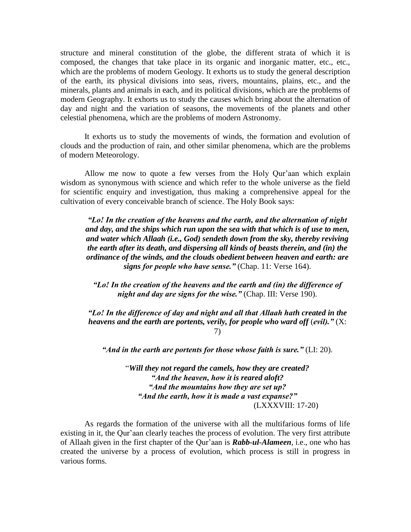structure and mineral constitution of the globe, the different strata of which it is composed, the changes that take place in its organic and inorganic matter, etc., etc., which are the problems of modern Geology. It exhorts us to study the general description of the earth, its physical divisions into seas, rivers, mountains, plains, etc., and the minerals, plants and animals in each, and its political divisions, which are the problems of modern Geography. It exhorts us to study the causes which bring about the alternation of day and night and the variation of seasons, the movements of the planets and other celestial phenomena, which are the problems of modern Astronomy.

It exhorts us to study the movements of winds, the formation and evolution of clouds and the production of rain, and other similar phenomena, which are the problems of modern Meteorology.

Allow me now to quote a few verses from the Holy Qur'aan which explain wisdom as synonymous with science and which refer to the whole universe as the field for scientific enquiry and investigation, thus making a comprehensive appeal for the cultivation of every conceivable branch of science. The Holy Book says:

*"Lo! In the creation of the heavens and the earth, and the alternation of night and day, and the ships which run upon the sea with that which is of use to men, and water which Allaah (i.e., God) sendeth down from the sky, thereby reviving the earth after its death, and dispersing all kinds of beasts therein, and (in) the ordinance of the winds, and the clouds obedient between heaven and earth: are signs for people who have sense."* (Chap. 11: Verse 164).

*"Lo! In the creation of the heavens and the earth and (in) the difference of night and day are signs for the wise."* (Chap. III: Verse 190).

*"Lo! In the difference of day and night and all that Allaah hath created in the heavens and the earth are portents, verily, for people who ward off* (*evil)."* (X: 7)

*"And in the earth are portents for those whose faith is sure."* (LI: 20).

"*Will they not regard the camels, how they are created? "And the heaven, how it is reared aloft? "And the mountains how they are set up? "And the earth, how it is made a vast expanse?"* (LXXXVIII: 17-20)

As regards the formation of the universe with all the multifarious forms of life existing in it, the Qur'aan clearly teaches the process of evolution. The very first attribute of Allaah given in the first chapter of the Qur"aan is *Rabb-ul-Alameen*, i.e., one who has created the universe by a process of evolution, which process is still in progress in various forms.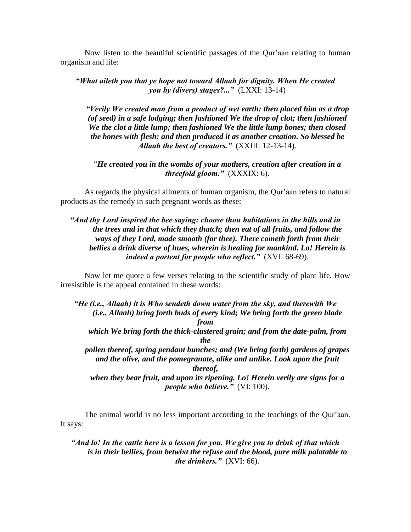Now listen to the beautiful scientific passages of the Qur"aan relating to human organism and life:

*"What aileth you that ye hope not toward Allaah for dignity. When He created you by (divers) stages?..."* (LXXI: 13-14)

*"Verily We created man from a product of wet earth: then placed him as a drop (of seed) in a safe lodging; then fashioned We the drop of clot; then fashioned We the clot a little lump; then fashioned We the little lump bones; then closed the bones with flesh: and then produced it as another creation. So blessed be Allaah the best of creators."* (XXIII: 12-13-14).

"*He created you in the wombs of your mothers, creation after creation in a threefold gloom."* (XXXIX: 6).

As regards the physical ailments of human organism, the Qur'aan refers to natural products as the remedy in such pregnant words as these:

# *"And thy Lord inspired the bee saying: choose thou habitations in the hills and in the trees and in that which they thatch; then eat of all fruits, and follow the ways of they Lord, made smooth (for thee). There cometh forth from their bellies a drink diverse of hues, wherein is healing for mankind. Lo! Herein is indeed a portent for people who reflect."* (XVI: 68-69).

Now let me quote a few verses relating to the scientific study of plant life. How irresistible is the appeal contained in these words:

*"He (i.e., Allaah) it is Who sendeth down water from the sky, and therewith We (i.e., Allaah) bring forth buds of every kind; We bring forth the green blade from which We bring forth the thick-clustered grain; and from the date-palm, from the pollen thereof, spring pendant bunches; and (We bring forth) gardens of grapes and the olive, and the pomegranate, alike and unlike. Look upon the fruit thereof, when they bear fruit, and upon its ripening. Lo! Herein verily are signs for a people who believe.*" (VI: 100).

The animal world is no less important according to the teachings of the Qur"aan. It says:

*"And lo! In the cattle here is a lesson for you. We give you to drink of that which is in their bellies, from betwixt the refuse and the blood, pure milk palatable to the drinkers."* (XVI: 66).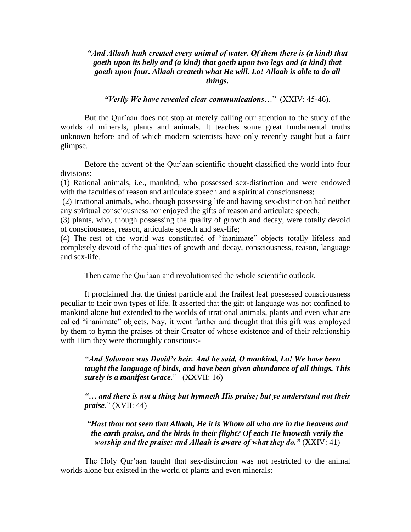#### *"And Allaah hath created every animal of water. Of them there is (a kind) that goeth upon its belly and (a kind) that goeth upon two legs and (a kind) that goeth upon four. Allaah createth what He will. Lo! Allaah is able to do all things.*

#### *"Verily We have revealed clear communications*…" (XXIV: 45-46).

But the Qur'aan does not stop at merely calling our attention to the study of the worlds of minerals, plants and animals. It teaches some great fundamental truths unknown before and of which modern scientists have only recently caught but a faint glimpse.

Before the advent of the Qur"aan scientific thought classified the world into four divisions:

(1) Rational animals, i.e., mankind, who possessed sex-distinction and were endowed with the faculties of reason and articulate speech and a spiritual consciousness;

(2) Irrational animals, who, though possessing life and having sex-distinction had neither any spiritual consciousness nor enjoyed the gifts of reason and articulate speech;

(3) plants, who, though possessing the quality of growth and decay, were totally devoid of consciousness, reason, articulate speech and sex-life;

(4) The rest of the world was constituted of "inanimate" objects totally lifeless and completely devoid of the qualities of growth and decay, consciousness, reason, language and sex-life.

Then came the Qur'aan and revolutionised the whole scientific outlook.

It proclaimed that the tiniest particle and the frailest leaf possessed consciousness peculiar to their own types of life. It asserted that the gift of language was not confined to mankind alone but extended to the worlds of irrational animals, plants and even what are called "inanimate" objects. Nay, it went further and thought that this gift was employed by them to hymn the praises of their Creator of whose existence and of their relationship with Him they were thoroughly conscious:-

*"And Solomon was David"s heir. And he said, O mankind, Lo! We have been taught the language of birds, and have been given abundance of all things. This surely is a manifest Grace*." (XXVII: 16)

*"… and there is not a thing but hymneth His praise; but ye understand not their praise*." (XVII: 44)

*"Hast thou not seen that Allaah, He it is Whom all who are in the heavens and the earth praise, and the birds in their flight? Of each He knoweth verily the worship and the praise: and Allaah is aware of what they do."* (XXIV: 41)

The Holy Qur"aan taught that sex-distinction was not restricted to the animal worlds alone but existed in the world of plants and even minerals: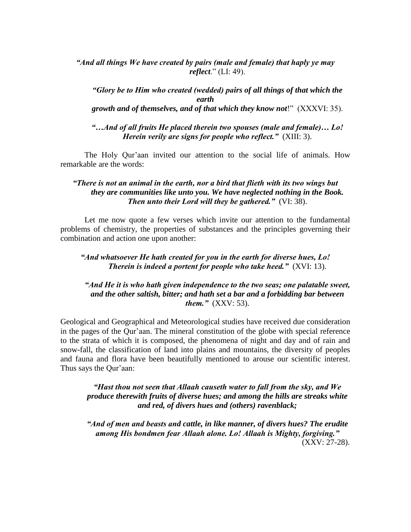*"And all things We have created by pairs (male and female) that haply ye may reflect*." (LI: 49).

*"Glory be to Him who created (wedded) pairs of all things of that which the earth growth and of themselves, and of that which they know not*!" (XXXVI: 35).

*"…And of all fruits He placed therein two spouses (male and female)… Lo! Herein verily are signs for people who reflect."* (XIII: 3).

The Holy Qur'aan invited our attention to the social life of animals. How remarkable are the words:

## *"There is not an animal in the earth, nor a bird that flieth with its two wings but they are communities like unto you. We have neglected nothing in the Book. Then unto their Lord will they be gathered."* (VI: 38).

Let me now quote a few verses which invite our attention to the fundamental problems of chemistry, the properties of substances and the principles governing their combination and action one upon another:

### *"And whatsoever He hath created for you in the earth for diverse hues, Lo! Therein is indeed a portent for people who take heed."* (XVI: 13).

## *"And He it is who hath given independence to the two seas; one palatable sweet, and the other saltish, bitter; and hath set a bar and a forbidding bar between them."* (XXV: 53).

Geological and Geographical and Meteorological studies have received due consideration in the pages of the Qur"aan. The mineral constitution of the globe with special reference to the strata of which it is composed, the phenomena of night and day and of rain and snow-fall, the classification of land into plains and mountains, the diversity of peoples and fauna and flora have been beautifully mentioned to arouse our scientific interest. Thus says the Qur'aan:

*"Hast thou not seen that Allaah causeth water to fall from the sky, and We produce therewith fruits of diverse hues; and among the hills are streaks white and red, of divers hues and (others) ravenblack;*

*"And of men and beasts and cattle, in like manner, of divers hues? The erudite among His bondmen fear Allaah alone. Lo! Allaah is Mighty, forgiving."* (XXV: 27-28).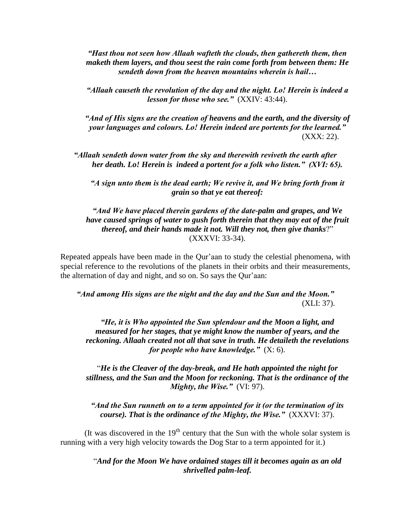*"Hast thou not seen how Allaah wafteth the clouds, then gathereth them, then maketh them layers, and thou seest the rain come forth from between them: He sendeth down from the heaven mountains wherein is hail…*

*"Allaah causeth the revolution of the day and the night. Lo! Herein is indeed a lesson for those who see."* (XXIV: 43:44).

*"And of His signs are the creation of heavens and the earth, and the diversity of your languages and colours. Lo! Herein indeed are portents for the learned."* (XXX: 22).

*"Allaah sendeth down water from the sky and therewith reviveth the earth after her death. Lo! Herein is indeed a portent for a folk who listen." (XVI: 65).*

*"A sign unto them is the dead earth; We revive it, and We bring forth from it grain so that ye eat thereof:*

*"And We have placed therein gardens of the date-palm and grapes, and We have caused springs of water to gush forth therein that they may eat of the fruit thereof, and their hands made it not. Will they not, then give thanks*?" (XXXVI: 33-34).

Repeated appeals have been made in the Qur"aan to study the celestial phenomena, with special reference to the revolutions of the planets in their orbits and their measurements, the alternation of day and night, and so on. So says the Qur"aan:

*"And among His signs are the night and the day and the Sun and the Moon."* (XLI: 37).

*"He, it is Who appointed the Sun splendour and the Moon a light, and measured for her stages, that ye might know the number of years, and the reckoning. Allaah created not all that save in truth. He detaileth the revelations for people who have knowledge."* (X: 6).

"*He is the Cleaver of the day-break, and He hath appointed the night for stillness, and the Sun and the Moon for reckoning. That is the ordinance of the Mighty, the Wise."* (VI: 97).

*"And the Sun runneth on to a term appointed for it (or the termination of its course). That is the ordinance of the Mighty, the Wise."* (XXXVI: 37).

(It was discovered in the  $19<sup>th</sup>$  century that the Sun with the whole solar system is running with a very high velocity towards the Dog Star to a term appointed for it.)

> "*And for the Moon We have ordained stages till it becomes again as an old shrivelled palm-leaf.*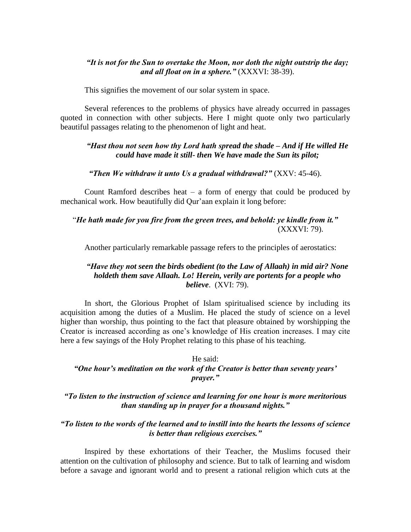#### *"It is not for the Sun to overtake the Moon, nor doth the night outstrip the day; and all float on in a sphere."* (XXXVI: 38-39).

This signifies the movement of our solar system in space.

Several references to the problems of physics have already occurred in passages quoted in connection with other subjects. Here I might quote only two particularly beautiful passages relating to the phenomenon of light and heat.

### *"Hast thou not seen how thy Lord hath spread the shade – And if He willed He could have made it still- then We have made the Sun its pilot;*

#### *"Then We withdraw it unto Us a gradual withdrawal?"* (XXV: 45-46).

Count Ramford describes heat  $-$  a form of energy that could be produced by mechanical work. How beautifully did Qur"aan explain it long before:

# "*He hath made for you fire from the green trees, and behold: ye kindle from it."* (XXXVI: 79).

Another particularly remarkable passage refers to the principles of aerostatics:

#### *"Have they not seen the birds obedient (to the Law of Allaah) in mid air? None holdeth them save Allaah. Lo! Herein, verily are portents for a people who believe*. (XVI: 79).

In short, the Glorious Prophet of Islam spiritualised science by including its acquisition among the duties of a Muslim. He placed the study of science on a level higher than worship, thus pointing to the fact that pleasure obtained by worshipping the Creator is increased according as one"s knowledge of His creation increases. I may cite here a few sayings of the Holy Prophet relating to this phase of his teaching.

# He said: *"One hour"s meditation on the work of the Creator is better than seventy years" prayer."*

#### *"To listen to the instruction of science and learning for one hour is more meritorious than standing up in prayer for a thousand nights."*

#### *"To listen to the words of the learned and to instill into the hearts the lessons of science is better than religious exercises."*

Inspired by these exhortations of their Teacher, the Muslims focused their attention on the cultivation of philosophy and science. But to talk of learning and wisdom before a savage and ignorant world and to present a rational religion which cuts at the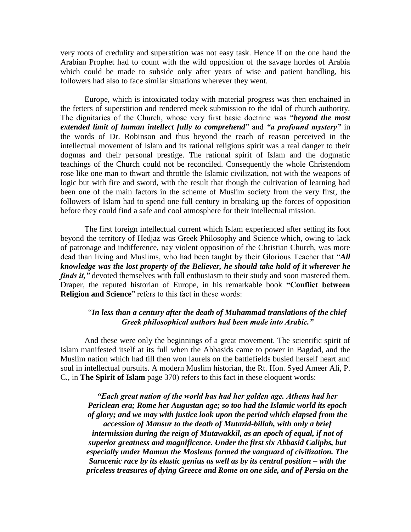very roots of credulity and superstition was not easy task. Hence if on the one hand the Arabian Prophet had to count with the wild opposition of the savage hordes of Arabia which could be made to subside only after years of wise and patient handling, his followers had also to face similar situations wherever they went.

Europe, which is intoxicated today with material progress was then enchained in the fetters of superstition and rendered meek submission to the idol of church authority. The dignitaries of the Church, whose very first basic doctrine was "*beyond the most extended limit of human intellect fully to comprehend*" and *"a profound mystery"* in the words of Dr. Robinson and thus beyond the reach of reason perceived in the intellectual movement of Islam and its rational religious spirit was a real danger to their dogmas and their personal prestige. The rational spirit of Islam and the dogmatic teachings of the Church could not be reconciled. Consequently the whole Christendom rose like one man to thwart and throttle the Islamic civilization, not with the weapons of logic but with fire and sword, with the result that though the cultivation of learning had been one of the main factors in the scheme of Muslim society from the very first, the followers of Islam had to spend one full century in breaking up the forces of opposition before they could find a safe and cool atmosphere for their intellectual mission.

The first foreign intellectual current which Islam experienced after setting its foot beyond the territory of Hedjaz was Greek Philosophy and Science which, owing to lack of patronage and indifference, nay violent opposition of the Christian Church, was more dead than living and Muslims, who had been taught by their Glorious Teacher that "*All knowledge was the lost property of the Believer, he should take hold of it wherever he finds it,"* devoted themselves with full enthusiasm to their study and soon mastered them. Draper, the reputed historian of Europe, in his remarkable book **"Conflict between Religion and Science**" refers to this fact in these words:

#### "*In less than a century after the death of Muhammad translations of the chief Greek philosophical authors had been made into Arabic."*

And these were only the beginnings of a great movement. The scientific spirit of Islam manifested itself at its full when the Abbasids came to power in Bagdad, and the Muslim nation which had till then won laurels on the battlefields busied herself heart and soul in intellectual pursuits. A modern Muslim historian, the Rt. Hon. Syed Ameer Ali, P. C., in **The Spirit of Islam** page 370) refers to this fact in these eloquent words:

*"Each great nation of the world has had her golden age. Athens had her Periclean era; Rome her Augustan age; so too had the Islamic world its epoch of glory; and we may with justice look upon the period which elapsed from the accession of Mansur to the death of Mutazid-billah, with only a brief intermission during the reign of Mutawakkil, as an epoch of equal, if not of superior greatness and magnificence. Under the first six Abbasid Caliphs, but especially under Mamun the Moslems formed the vanguard of civilization. The Saracenic race by its elastic genius as well as by its central position – with the priceless treasures of dying Greece and Rome on one side, and of Persia on the*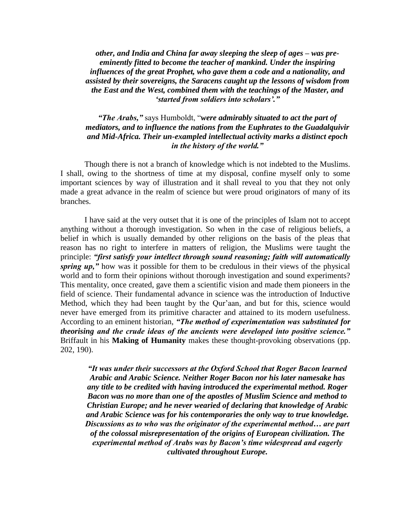*other, and India and China far away sleeping the sleep of ages – was preeminently fitted to become the teacher of mankind. Under the inspiring influences of the great Prophet, who gave them a code and a nationality, and assisted by their sovereigns, the Saracens caught up the lessons of wisdom from the East and the West, combined them with the teachings of the Master, and "started from soldiers into scholars"."*

# *"The Arabs,"* says Humboldt, "*were admirably situated to act the part of mediators, and to influence the nations from the Euphrates to the Guadalquivir and Mid-Africa. Their un-exampled intellectual activity marks a distinct epoch in the history of the world."*

Though there is not a branch of knowledge which is not indebted to the Muslims. I shall, owing to the shortness of time at my disposal, confine myself only to some important sciences by way of illustration and it shall reveal to you that they not only made a great advance in the realm of science but were proud originators of many of its branches.

I have said at the very outset that it is one of the principles of Islam not to accept anything without a thorough investigation. So when in the case of religious beliefs, a belief in which is usually demanded by other religions on the basis of the pleas that reason has no right to interfere in matters of religion, the Muslims were taught the principle: *"first satisfy your intellect through sound reasoning; faith will automatically spring up,"* how was it possible for them to be credulous in their views of the physical world and to form their opinions without thorough investigation and sound experiments? This mentality, once created, gave them a scientific vision and made them pioneers in the field of science. Their fundamental advance in science was the introduction of Inductive Method, which they had been taught by the Qur"aan, and but for this, science would never have emerged from its primitive character and attained to its modern usefulness. According to an eminent historian, *"The method of experimentation was substituted for theorising and the crude ideas of the ancients were developed into positive science."* Briffault in his **Making of Humanity** makes these thought-provoking observations (pp. 202, 190).

*"It was under their successors at the Oxford School that Roger Bacon learned Arabic and Arabic Science. Neither Roger Bacon nor his later namesake has any title to be credited with having introduced the experimental method. Roger Bacon was no more than one of the apostles of Muslim Science and method to Christian Europe; and he never wearied of declaring that knowledge of Arabic and Arabic Science was for his contemporaries the only way to true knowledge. Discussions as to who was the originator of the experimental method… are part of the colossal misrepresentation of the origins of European civilization. The experimental method of Arabs was by Bacon"s time widespread and eagerly cultivated throughout Europe.*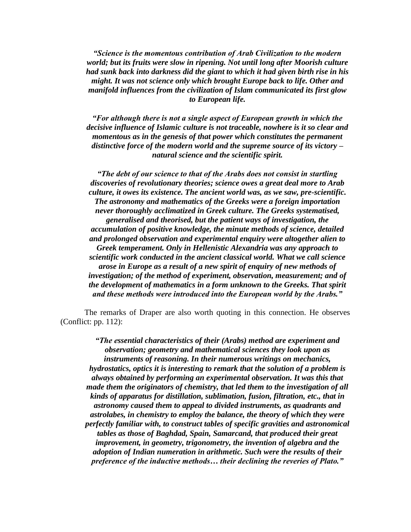*"Science is the momentous contribution of Arab Civilization to the modern world; but its fruits were slow in ripening. Not until long after Moorish culture had sunk back into darkness did the giant to which it had given birth rise in his might. It was not science only which brought Europe back to life. Other and manifold influences from the civilization of Islam communicated its first glow to European life.*

*"For although there is not a single aspect of European growth in which the decisive influence of Islamic culture is not traceable, nowhere is it so clear and momentous as in the genesis of that power which constitutes the permanent distinctive force of the modern world and the supreme source of its victory – natural science and the scientific spirit.*

*"The debt of our science to that of the Arabs does not consist in startling discoveries of revolutionary theories; science owes a great deal more to Arab culture, it owes its existence. The ancient world was, as we saw, pre-scientific. The astronomy and mathematics of the Greeks were a foreign importation never thoroughly acclimatized in Greek culture. The Greeks systematised, generalised and theorised, but the patient ways of investigation, the accumulation of positive knowledge, the minute methods of science, detailed and prolonged observation and experimental enquiry were altogether alien to Greek temperament. Only in Hellenistic Alexandria was any approach to scientific work conducted in the ancient classical world. What we call science arose in Europe as a result of a new spirit of enquiry of new methods of investigation; of the method of experiment, observation, measurement; and of the development of mathematics in a form unknown to the Greeks. That spirit and these methods were introduced into the European world by the Arabs."*

The remarks of Draper are also worth quoting in this connection. He observes (Conflict: pp. 112):

*"The essential characteristics of their (Arabs) method are experiment and observation; geometry and mathematical sciences they look upon as instruments of reasoning. In their numerous writings on mechanics, hydrostatics, optics it is interesting to remark that the solution of a problem is always obtained by performing an experimental observation. It was this that made them the originators of chemistry, that led them to the investigation of all kinds of apparatus for distillation, sublimation, fusion, filtration, etc., that in astronomy caused them to appeal to divided instruments, as quadrants and astrolabes, in chemistry to employ the balance, the theory of which they were perfectly familiar with, to construct tables of specific gravities and astronomical tables as those of Baghdad, Spain, Samarcand, that produced their great improvement, in geometry, trigonometry, the invention of algebra and the adoption of Indian numeration in arithmetic. Such were the results of their preference of the inductive methods… their declining the reveries of Plato."*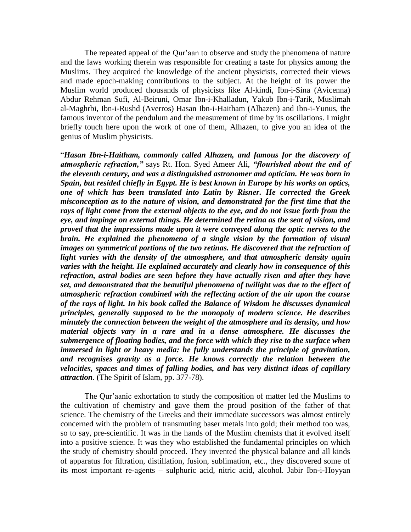The repeated appeal of the Qur'aan to observe and study the phenomena of nature and the laws working therein was responsible for creating a taste for physics among the Muslims. They acquired the knowledge of the ancient physicists, corrected their views and made epoch-making contributions to the subject. At the height of its power the Muslim world produced thousands of physicists like Al-kindi, Ibn-i-Sina (Avicenna) Abdur Rehman Sufi, Al-Beiruni, Omar Ibn-i-Khalladun, Yakub Ibn-i-Tarik, Muslimah al-Maghrbi, Ibn-i-Rushd (Averros) Hasan Ibn-i-Haitham (Alhazen) and Ibn-i-Yunus, the famous inventor of the pendulum and the measurement of time by its oscillations. I might briefly touch here upon the work of one of them, Alhazen, to give you an idea of the genius of Muslim physicists.

"*Hasan Ibn-i-Haitham, commonly called Alhazen, and famous for the discovery of atmospheric refraction,"* says Rt. Hon. Syed Ameer Ali, *"flourished about the end of the eleventh century, and was a distinguished astronomer and optician. He was born in Spain, but resided chiefly in Egypt. He is best known in Europe by his works on optics, one of which has been translated into Latin by Risner. He corrected the Greek misconception as to the nature of vision, and demonstrated for the first time that the rays of light come from the external objects to the eye, and do not issue forth from the eye, and impinge on external things. He determined the retina as the seat of vision, and proved that the impressions made upon it were conveyed along the optic nerves to the brain. He explained the phenomena of a single vision by the formation of visual images on symmetrical portions of the two retinas. He discovered that the refraction of light varies with the density of the atmosphere, and that atmospheric density again varies with the height. He explained accurately and clearly how in consequence of this refraction, astral bodies are seen before they have actually risen and after they have set, and demonstrated that the beautiful phenomena of twilight was due to the effect of atmospheric refraction combined with the reflecting action of the air upon the course of the rays of light. In his book called the Balance of Wisdom he discusses dynamical principles, generally supposed to be the monopoly of modern science. He describes minutely the connection between the weight of the atmosphere and its density, and how material objects vary in a rare and in a dense atmosphere. He discusses the submergence of floating bodies, and the force with which they rise to the surface when immersed in light or heavy media: he fully understands the principle of gravitation, and recognises gravity as a force. He knows correctly the relation between the velocities, spaces and times of falling bodies, and has very distinct ideas of capillary attraction*. (The Spirit of Islam, pp. 377-78).

The Qur"aanic exhortation to study the composition of matter led the Muslims to the cultivation of chemistry and gave them the proud position of the father of that science. The chemistry of the Greeks and their immediate successors was almost entirely concerned with the problem of transmuting baser metals into gold; their method too was, so to say, pre-scientific. It was in the hands of the Muslim chemists that it evolved itself into a positive science. It was they who established the fundamental principles on which the study of chemistry should proceed. They invented the physical balance and all kinds of apparatus for filtration, distillation, fusion, sublimation, etc., they discovered some of its most important re-agents – sulphuric acid, nitric acid, alcohol. Jabir Ibn-i-Hoyyan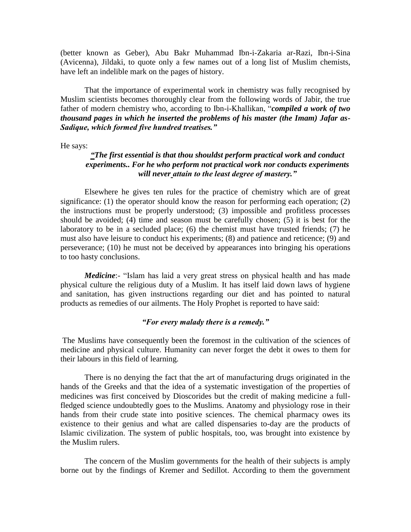(better known as Geber), Abu Bakr Muhammad Ibn-i-Zakaria ar-Razi, Ibn-i-Sina (Avicenna), Jildaki, to quote only a few names out of a long list of Muslim chemists, have left an indelible mark on the pages of history.

That the importance of experimental work in chemistry was fully recognised by Muslim scientists becomes thoroughly clear from the following words of Jabir, the true father of modern chemistry who, according to Ibn-i-Khallikan, "*compiled a work of two thousand pages in which he inserted the problems of his master (the Imam) Jafar as-Sadique, which formed five hundred treatises."* 

He says:

# *"The first essential is that thou shouldst perform practical work and conduct experiments.. For he who perform not practical work nor conducts experiments will never attain to the least degree of mastery."*

Elsewhere he gives ten rules for the practice of chemistry which are of great significance: (1) the operator should know the reason for performing each operation; (2) the instructions must be properly understood; (3) impossible and profitless processes should be avoided; (4) time and season must be carefully chosen; (5) it is best for the laboratory to be in a secluded place; (6) the chemist must have trusted friends; (7) he must also have leisure to conduct his experiments; (8) and patience and reticence; (9) and perseverance; (10) he must not be deceived by appearances into bringing his operations to too hasty conclusions.

*Medicine*:- "Islam has laid a very great stress on physical health and has made physical culture the religious duty of a Muslim. It has itself laid down laws of hygiene and sanitation, has given instructions regarding our diet and has pointed to natural products as remedies of our ailments. The Holy Prophet is reported to have said:

#### *"For every malady there is a remedy."*

The Muslims have consequently been the foremost in the cultivation of the sciences of medicine and physical culture. Humanity can never forget the debt it owes to them for their labours in this field of learning.

There is no denying the fact that the art of manufacturing drugs originated in the hands of the Greeks and that the idea of a systematic investigation of the properties of medicines was first conceived by Dioscorides but the credit of making medicine a fullfledged science undoubtedly goes to the Muslims. Anatomy and physiology rose in their hands from their crude state into positive sciences. The chemical pharmacy owes its existence to their genius and what are called dispensaries to-day are the products of Islamic civilization. The system of public hospitals, too, was brought into existence by the Muslim rulers.

The concern of the Muslim governments for the health of their subjects is amply borne out by the findings of Kremer and Sedillot. According to them the government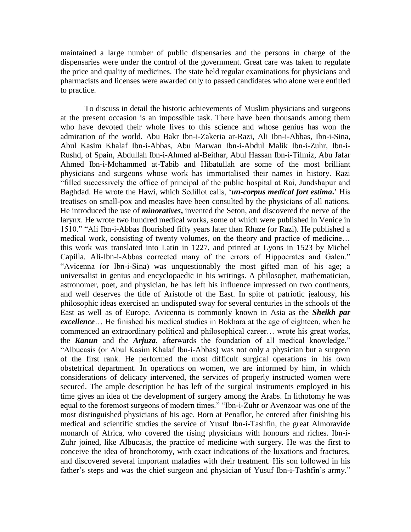maintained a large number of public dispensaries and the persons in charge of the dispensaries were under the control of the government. Great care was taken to regulate the price and quality of medicines. The state held regular examinations for physicians and pharmacists and licenses were awarded only to passed candidates who alone were entitled to practice.

To discuss in detail the historic achievements of Muslim physicians and surgeons at the present occasion is an impossible task. There have been thousands among them who have devoted their whole lives to this science and whose genius has won the admiration of the world. Abu Bakr Ibn-i-Zakeria ar-Razi, Ali Ibn-i-Abbas, Ibn-i-Sina, Abul Kasim Khalaf Ibn-i-Abbas, Abu Marwan Ibn-i-Abdul Malik Ibn-i-Zuhr, Ibn-i-Rushd, of Spain, Abdullah Ibn-i-Ahmed al-Beithar, Abul Hassan Ibn-i-Tilmiz, Abu Jafar Ahmed Ibn-i-Mohammed at-Tabib and Hibatullah are some of the most brilliant physicians and surgeons whose work has immortalised their names in history. Razi "filled successively the office of principal of the public hospital at Rai, Jundshapur and Baghdad. He wrote the Hawi, which Sedillot calls, "*un-corpus medical fort estima***.**" His treatises on small-pox and measles have been consulted by the physicians of all nations. He introduced the use of *minoratives***,** invented the Seton, and discovered the nerve of the larynx. He wrote two hundred medical works, some of which were published in Venice in 1510." "Ali Ibn-i-Abbas flourished fifty years later than Rhaze (or Razi). He published a medical work, consisting of twenty volumes, on the theory and practice of medicine… this work was translated into Latin in 1227, and printed at Lyons in 1523 by Michel Capilla. Ali-Ibn-i-Abbas corrected many of the errors of Hippocrates and Galen." "Avicenna (or Ibn-i-Sina) was unquestionably the most gifted man of his age; a universalist in genius and encyclopaedic in his writings. A philosopher, mathematician, astronomer, poet, and physician, he has left his influence impressed on two continents, and well deserves the title of Aristotle of the East. In spite of patriotic jealousy, his philosophic ideas exercised an undisputed sway for several centuries in the schools of the East as well as of Europe. Avicenna is commonly known in Asia as the *Sheikh par excellence*… He finished his medical studies in Bokhara at the age of eighteen, when he commenced an extraordinary political and philosophical career… wrote his great works, the *Kanun* and the *Arjuza*, afterwards the foundation of all medical knowledge." "Albucasis (or Abul Kasim Khalaf Ibn-i-Abbas) was not only a physician but a surgeon of the first rank. He performed the most difficult surgical operations in his own obstetrical department. In operations on women, we are informed by him, in which considerations of delicacy intervened, the services of properly instructed women were secured. The ample description he has left of the surgical instruments employed in his time gives an idea of the development of surgery among the Arabs. In lithotomy he was equal to the foremost surgeons of modern times." "Ibn-i-Zuhr or Avenzoar was one of the most distinguished physicians of his age. Born at Penaflor, he entered after finishing his medical and scientific studies the service of Yusuf Ibn-i-Tashfin, the great Almoravide monarch of Africa, who covered the rising physicians with honours and riches. Ibn-i-Zuhr joined, like Albucasis, the practice of medicine with surgery. He was the first to conceive the idea of bronchotomy, with exact indications of the luxations and fractures, and discovered several important maladies with their treatment. His son followed in his father's steps and was the chief surgeon and physician of Yusuf Ibn-i-Tashfin's army."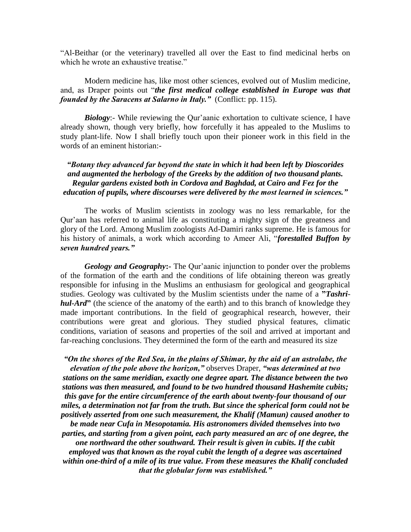"Al-Beithar (or the veterinary) travelled all over the East to find medicinal herbs on which he wrote an exhaustive treatise."

#### Modern medicine has, like most other sciences, evolved out of Muslim medicine, and, as Draper points out "*the first medical college established in Europe was that founded by the Saracens at Salarno in Italy.*" (Conflict: pp. 115).

*Biology*:- While reviewing the Qur'aanic exhortation to cultivate science, I have already shown, though very briefly, how forcefully it has appealed to the Muslims to study plant-life. Now I shall briefly touch upon their pioneer work in this field in the words of an eminent historian:-

### *"Botany they advanced far beyond the state in which it had been left by Dioscorides and augmented the herbology of the Greeks by the addition of two thousand plants. Regular gardens existed both in Cordova and Baghdad, at Cairo and Fez for the education of pupils, where discourses were delivered by the most learned in sciences."*

The works of Muslim scientists in zoology was no less remarkable, for the Qur"aan has referred to animal life as constituting a mighty sign of the greatness and glory of the Lord. Among Muslim zoologists Ad-Damiri ranks supreme. He is famous for his history of animals, a work which according to Ameer Ali, "*forestalled Buffon by seven hundred years."*

*Geology and Geography***:-** The Qur"aanic injunction to ponder over the problems of the formation of the earth and the conditions of life obtaining thereon was greatly responsible for infusing in the Muslims an enthusiasm for geological and geographical studies. Geology was cultivated by the Muslim scientists under the name of a **"***Tashrihul-Ard***"** (the science of the anatomy of the earth) and to this branch of knowledge they made important contributions. In the field of geographical research, however, their contributions were great and glorious. They studied physical features, climatic conditions, variation of seasons and properties of the soil and arrived at important and far-reaching conclusions. They determined the form of the earth and measured its size

*"On the shores of the Red Sea, in the plains of Shimar, by the aid of an astrolabe, the elevation of the pole above the horizon,"* observes Draper, *"was determined at two stations on the same meridian, exactly one degree apart. The distance between the two stations was then measured, and found to be two hundred thousand Hashemite cubits; this gave for the entire circumference of the earth about twenty-four thousand of our miles, a determination not far from the truth. But since the spherical form could not be positively asserted from one such measurement, the Khalif (Mamun) caused another to be made near Cufa in Mesopotamia. His astronomers divided themselves into two parties, and starting from a given point, each party measured an arc of one degree, the one northward the other southward. Their result is given in cubits. If the cubit employed was that known as the royal cubit the length of a degree was ascertained within one-third of a mile of its true value. From these measures the Khalif concluded that the globular form was established."*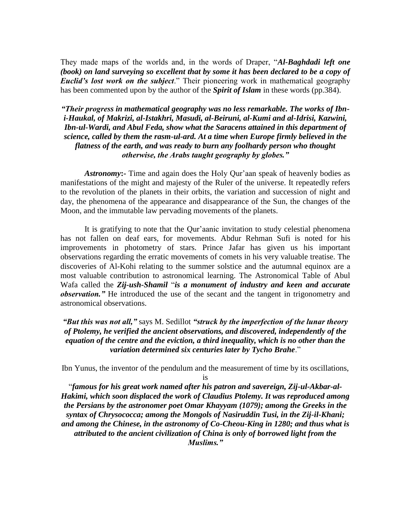They made maps of the worlds and, in the words of Draper, "*Al-Baghdadi left one (book) on land surveying so excellent that by some it has been declared to be a copy of Euclid"s lost work on the subject*." Their pioneering work in mathematical geography has been commented upon by the author of the *Spirit of Islam* in these words (pp.384).

# *"Their progress in mathematical geography was no less remarkable. The works of Ibni-Haukal, of Makrizi, al-Istakhri, Masudi, al-Beiruni, al-Kumi and al-Idrisi, Kazwini, Ibn-ul-Wardi, and Abul Feda, show what the Saracens attained in this department of science, called by them the rasm-ul-ard. At a time when Europe firmly believed in the flatness of the earth, and was ready to burn any foolhardy person who thought otherwise, the Arabs taught geography by globes."*

*Astronomy***:-** Time and again does the Holy Qur"aan speak of heavenly bodies as manifestations of the might and majesty of the Ruler of the universe. It repeatedly refers to the revolution of the planets in their orbits, the variation and succession of night and day, the phenomena of the appearance and disappearance of the Sun, the changes of the Moon, and the immutable law pervading movements of the planets.

It is gratifying to note that the Qur'aanic invitation to study celestial phenomena has not fallen on deaf ears, for movements. Abdur Rehman Sufi is noted for his improvements in photometry of stars. Prince Jafar has given us his important observations regarding the erratic movements of comets in his very valuable treatise. The discoveries of Al-Kohi relating to the summer solstice and the autumnal equinox are a most valuable contribution to astronomical learning. The Astronomical Table of Abul Wafa called the *Zij-ush-Shamil* "*is a monument of industry and keen and accurate observation."* He introduced the use of the secant and the tangent in trigonometry and astronomical observations.

### *"But this was not all,"* says M. Sedillot *"struck by the imperfection of the lunar theory of Ptolemy, he verified the ancient observations, and discovered, independently of the equation of the centre and the eviction, a third inequality, which is no other than the variation determined six centuries later by Tycho Brahe*."

Ibn Yunus, the inventor of the pendulum and the measurement of time by its oscillations,

is

"*famous for his great work named after his patron and savereign, Zij-ul-Akbar-al-Hakimi, which soon displaced the work of Claudius Ptolemy. It was reproduced among the Persians by the astronomer poet Omar Khayyam (1079); among the Greeks in the syntax of Chrysococca; among the Mongols of Nasiruddin Tusi, in the Zij-il-Khani; and among the Chinese, in the astronomy of Co-Cheou-King in 1280; and thus what is attributed to the ancient civilization of China is only of borrowed light from the Muslims."*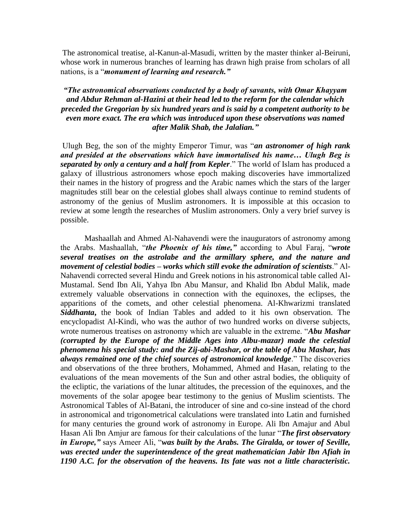The astronomical treatise, al-Kanun-al-Masudi, written by the master thinker al-Beiruni, whose work in numerous branches of learning has drawn high praise from scholars of all nations, is a "*monument of learning and research."*

## *"The astronomical observations conducted by a body of savants, with Omar Khayyam and Abdur Rehman al-Hazini at their head led to the reform for the calendar which preceded the Gregorian by six hundred years and is said by a competent authority to be even more exact. The era which was introduced upon these observations was named after Malik Shab, the Jalalian."*

Ulugh Beg, the son of the mighty Emperor Timur, was "*an astronomer of high rank and presided at the observations which have immortalised his name… Ulugh Beg is separated by only a century and a half from Kepler*." The world of Islam has produced a galaxy of illustrious astronomers whose epoch making discoveries have immortalized their names in the history of progress and the Arabic names which the stars of the larger magnitudes still bear on the celestial globes shall always continue to remind students of astronomy of the genius of Muslim astronomers. It is impossible at this occasion to review at some length the researches of Muslim astronomers. Only a very brief survey is possible.

Mashaallah and Ahmed Al-Nahavendi were the inaugurators of astronomy among the Arabs. Mashaallah, "*the Phoenix of his time,"* according to Abul Faraj, "*wrote several treatises on the astrolabe and the armillary sphere, and the nature and movement of celestial bodies – works which still evoke the admiration of scientists*." Al-Nahavendi corrected several Hindu and Greek notions in his astronomical table called Al-Mustamal. Send Ibn Ali, Yahya Ibn Abu Mansur, and Khalid Ibn Abdul Malik, made extremely valuable observations in connection with the equinoxes, the eclipses, the apparitions of the comets, and other celestial phenomena. Al-Khwarizmi translated *Siddhanta***,** the book of Indian Tables and added to it his own observation. The encyclopadist Al-Kindi, who was the author of two hundred works on diverse subjects, wrote numerous treatises on astronomy which are valuable in the extreme. "*Abu Mashar (corrupted by the Europe of the Middle Ages into Albu-mazar) made the celestial phenomena his special study: and the Zij-abi-Mashar, or the table of Abu Mashar, has always remained one of the chief sources of astronomical knowledge*." The discoveries and observations of the three brothers, Mohammed, Ahmed and Hasan, relating to the evaluations of the mean movements of the Sun and other astral bodies, the obliquity of the ecliptic, the variations of the lunar altitudes, the precession of the equinoxes, and the movements of the solar apogee bear testimony to the genius of Muslim scientists. The Astronomical Tables of Al-Batani, the introducer of sine and co-sine instead of the chord in astronomical and trigonometrical calculations were translated into Latin and furnished for many centuries the ground work of astronomy in Europe. Ali Ibn Amajur and Abul Hasan Ali Ibn Amjur are famous for their calculations of the lunar "*The first observatory in Europe,"* says Ameer Ali, "*was built by the Arabs. The Giralda, or tower of Seville, was erected under the superintendence of the great mathematician Jabir Ibn Afiah in 1190 A.C. for the observation of the heavens. Its fate was not a little characteristic.*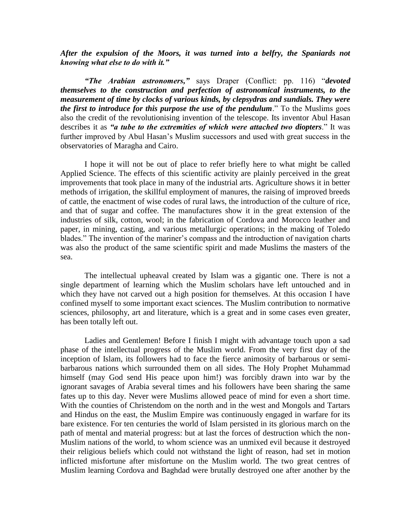*After the expulsion of the Moors, it was turned into a belfry, the Spaniards not knowing what else to do with it."*

*"The Arabian astronomers,"* says Draper (Conflict: pp. 116) "*devoted themselves to the construction and perfection of astronomical instruments, to the measurement of time by clocks of various kinds, by clepsydras and sundials. They were the first to introduce for this purpose the use of the pendulum*." To the Muslims goes also the credit of the revolutionising invention of the telescope. Its inventor Abul Hasan describes it as *"a tube to the extremities of which were attached two diopters*." It was further improved by Abul Hasan's Muslim successors and used with great success in the observatories of Maragha and Cairo.

I hope it will not be out of place to refer briefly here to what might be called Applied Science. The effects of this scientific activity are plainly perceived in the great improvements that took place in many of the industrial arts. Agriculture shows it in better methods of irrigation, the skillful employment of manures, the raising of improved breeds of cattle, the enactment of wise codes of rural laws, the introduction of the culture of rice, and that of sugar and coffee. The manufactures show it in the great extension of the industries of silk, cotton, wool; in the fabrication of Cordova and Morocco leather and paper, in mining, casting, and various metallurgic operations; in the making of Toledo blades." The invention of the mariner's compass and the introduction of navigation charts was also the product of the same scientific spirit and made Muslims the masters of the sea.

The intellectual upheaval created by Islam was a gigantic one. There is not a single department of learning which the Muslim scholars have left untouched and in which they have not carved out a high position for themselves. At this occasion I have confined myself to some important exact sciences. The Muslim contribution to normative sciences, philosophy, art and literature, which is a great and in some cases even greater, has been totally left out.

Ladies and Gentlemen! Before I finish I might with advantage touch upon a sad phase of the intellectual progress of the Muslim world. From the very first day of the inception of Islam, its followers had to face the fierce animosity of barbarous or semibarbarous nations which surrounded them on all sides. The Holy Prophet Muhammad himself (may God send His peace upon him!) was forcibly drawn into war by the ignorant savages of Arabia several times and his followers have been sharing the same fates up to this day. Never were Muslims allowed peace of mind for even a short time. With the counties of Christendom on the north and in the west and Mongols and Tartars and Hindus on the east, the Muslim Empire was continuously engaged in warfare for its bare existence. For ten centuries the world of Islam persisted in its glorious march on the path of mental and material progress: but at last the forces of destruction which the non-Muslim nations of the world, to whom science was an unmixed evil because it destroyed their religious beliefs which could not withstand the light of reason, had set in motion inflicted misfortune after misfortune on the Muslim world. The two great centres of Muslim learning Cordova and Baghdad were brutally destroyed one after another by the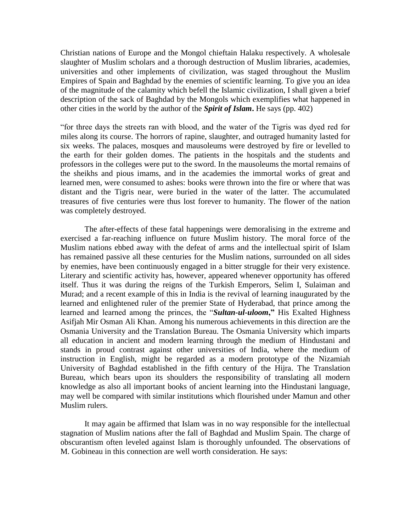Christian nations of Europe and the Mongol chieftain Halaku respectively. A wholesale slaughter of Muslim scholars and a thorough destruction of Muslim libraries, academies, universities and other implements of civilization, was staged throughout the Muslim Empires of Spain and Baghdad by the enemies of scientific learning. To give you an idea of the magnitude of the calamity which befell the Islamic civilization, I shall given a brief description of the sack of Baghdad by the Mongols which exemplifies what happened in other cities in the world by the author of the *Spirit of Islam***.** He says (pp. 402)

"for three days the streets ran with blood, and the water of the Tigris was dyed red for miles along its course. The horrors of rapine, slaughter, and outraged humanity lasted for six weeks. The palaces, mosques and mausoleums were destroyed by fire or levelled to the earth for their golden domes. The patients in the hospitals and the students and professors in the colleges were put to the sword. In the mausoleums the mortal remains of the sheikhs and pious imams, and in the academies the immortal works of great and learned men, were consumed to ashes: books were thrown into the fire or where that was distant and the Tigris near, were buried in the water of the latter. The accumulated treasures of five centuries were thus lost forever to humanity. The flower of the nation was completely destroyed.

The after-effects of these fatal happenings were demoralising in the extreme and exercised a far-reaching influence on future Muslim history. The moral force of the Muslim nations ebbed away with the defeat of arms and the intellectual spirit of Islam has remained passive all these centuries for the Muslim nations, surrounded on all sides by enemies, have been continuously engaged in a bitter struggle for their very existence. Literary and scientific activity has, however, appeared whenever opportunity has offered itself. Thus it was during the reigns of the Turkish Emperors, Selim I, Sulaiman and Murad; and a recent example of this in India is the revival of learning inaugurated by the learned and enlightened ruler of the premier State of Hyderabad, that prince among the learned and learned among the princes, the "*Sultan-ul-uloom***,"** His Exalted Highness Asifjah Mir Osman Ali Khan. Among his numerous achievements in this direction are the Osmania University and the Translation Bureau. The Osmania University which imparts all education in ancient and modern learning through the medium of Hindustani and stands in proud contrast against other universities of India, where the medium of instruction in English, might be regarded as a modern prototype of the Nizamiah University of Baghdad established in the fifth century of the Hijra. The Translation Bureau, which bears upon its shoulders the responsibility of translating all modern knowledge as also all important books of ancient learning into the Hindustani language, may well be compared with similar institutions which flourished under Mamun and other Muslim rulers.

It may again be affirmed that Islam was in no way responsible for the intellectual stagnation of Muslim nations after the fall of Baghdad and Muslim Spain. The charge of obscurantism often leveled against Islam is thoroughly unfounded. The observations of M. Gobineau in this connection are well worth consideration. He says: